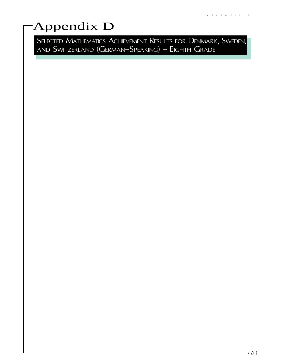# Appendix D

SELECTED MATHEMATICS ACHIEVEMENT RESULTS FOR DENMARK, SWEDEN, and  $\sf SWITZERLAND$  ( $\sf GERMAN{\rm -}SPEAKING$ ) –  $\sf EIGHTH$   $\sf GRADE$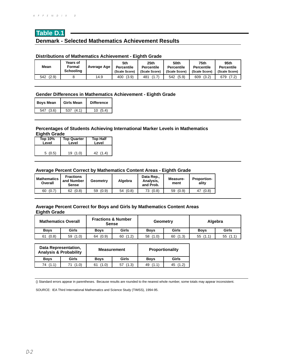# **Table D.1 Denmark - Selected Mathematics Achievement Results**

#### **Distributions of Mathematics Achievement - Eighth Grade**

| Mean         | Years of<br>Formal<br><b>Schooling</b> | Average Age | 5th<br><b>Percentile</b><br>(Scale Score) | 25th<br><b>Percentile</b><br>(Scale Score) | 50th<br><b>Percentile</b><br>(Scale Score) | 75th<br><b>Percentile</b><br>(Scale Score) | 95th<br><b>Percentile</b><br>(Scale Score) |
|--------------|----------------------------------------|-------------|-------------------------------------------|--------------------------------------------|--------------------------------------------|--------------------------------------------|--------------------------------------------|
| (2.9)<br>542 |                                        | 14.9        | (3.9)<br>400                              | 481                                        | (5.9)<br>542                               | (3.2)<br>609                               | (7.2)<br>679                               |

# **Gender Differences in Mathematics Achievement - Eighth Grade**

| <b>Boys Mean</b> | Girls Mean   | <b>Difference</b> |  |  |
|------------------|--------------|-------------------|--|--|
| (3.6)<br>547     | (4.1)<br>537 | 10(5.4)           |  |  |

#### **Percentages of Students Achieving International Marker Levels in Mathematics Eighth Grade**

| Top 10% | <b>Top Quarter</b> | <b>Top Half</b> |  |
|---------|--------------------|-----------------|--|
| Level   | Level              | Level           |  |
| 5(0.5)  | (1.0)<br>19        | (1.4)<br>42     |  |

#### **Average Percent Correct by Mathematics Content Areas - Eighth Grade**

| <b>Mathematics</b><br>Overall | <b>Fractions</b><br>and Number<br><b>Sense</b> | Geometry | Algebra | Data Rep.,<br>Analysis.<br>and Prob. | Measure-<br>ment | <b>Proportion-</b><br>ality |
|-------------------------------|------------------------------------------------|----------|---------|--------------------------------------|------------------|-----------------------------|
| (0.7)                         | (0.8)                                          | (0.9)    | (0.8)   | (0.8)                                | (0.9)            | (0.8)                       |
| 60                            | 62                                             | 59       | 54      | 73                                   | 59               | 47                          |

## **Average Percent Correct for Boys and Girls by Mathematics Content Areas Eighth Grade**

| <b>Mathematics Overall</b> |             | <b>Fractions &amp; Number</b><br><b>Sense</b> |             | Geometry    |             | Algebra     |             |
|----------------------------|-------------|-----------------------------------------------|-------------|-------------|-------------|-------------|-------------|
| <b>Boys</b>                | Girls       | <b>Boys</b>                                   | Girls       | <b>Boys</b> | Girls       | <b>Boys</b> | Girls       |
| (0.8)<br>61                | (1.0)<br>59 | (0.9)<br>64                                   | (1.2)<br>60 | (1.0)<br>58 | (1.3)<br>60 | 55<br>(1.1) | 55<br>(1.1) |

| <b>Data Representation,</b><br><b>Analysis &amp; Probability</b> |       | <b>Measurement</b> |             | Proportionality |             |  |
|------------------------------------------------------------------|-------|--------------------|-------------|-----------------|-------------|--|
| <b>Boys</b>                                                      | Girls | <b>Boys</b>        | Girls       | <b>Boys</b>     | Girls       |  |
| (1.1)<br>74                                                      | (1.0) | (1.0)              | (1.3)<br>57 | (1.1)<br>49     | (1.2)<br>45 |  |

() Standard errors appear in parentheses. Because results are rounded to the nearest whole number, some totals may appear inconsistent.

SOURCE: IEA Third International Mathematics and Science Study (TIMSS), 1994-95.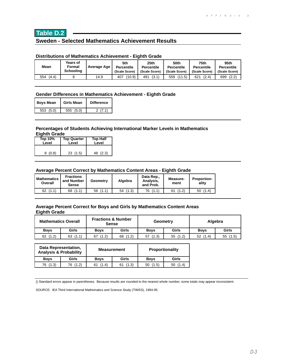# **Table D.2**

# **Sweden - Selected Mathematics Achievement Results**

# **Distributions of Mathematics Achievement - Eighth Grade**

| Mean         | Years of<br>Formal<br><b>Schooling</b> | Average Age | 5th<br><b>Percentile</b><br>(Scale Score) | 25th<br><b>Percentile</b><br>(Scale Score) | 50th<br><b>Percentile</b><br>(Scale Score) | 75th<br><b>Percentile</b><br>(Scale Score) | 95th<br><b>Percentile</b><br>(Scale Score) |
|--------------|----------------------------------------|-------------|-------------------------------------------|--------------------------------------------|--------------------------------------------|--------------------------------------------|--------------------------------------------|
| (4.4)<br>554 |                                        | 14.9        | (10.9)<br>407                             | (3.1)<br>491                               | (11.5)<br>559                              | 621<br>(2.4)                               | (2.2)<br>699                               |

#### **Gender Differences in Mathematics Achievement - Eighth Grade**

| <b>Boys Mean</b> | <b>Girls Mean</b> | <b>Difference</b> |  |
|------------------|-------------------|-------------------|--|
| 553(5.0)         | 555(5.0)          | 2(7.1)            |  |

#### **Percentages of Students Achieving International Marker Levels in Mathematics Eighth Grade**

| Top 10% | <b>Top Quarter</b> | <b>Top Half</b> |  |
|---------|--------------------|-----------------|--|
| Level   | Level              | Level           |  |
| 8(0.8)  | 23(1.5)            | 48 (2.3)        |  |

#### **Average Percent Correct by Mathematics Content Areas - Eighth Grade**

| Mathematics<br>Overall                                      | <b>Fractions</b><br>and Number<br><b>Sense</b> | Geometry    | Algebra     | Data Rep.,<br>Analysis,<br>and Prob. | Measure-<br>ment | <b>Proportion-</b><br>alitv |
|-------------------------------------------------------------|------------------------------------------------|-------------|-------------|--------------------------------------|------------------|-----------------------------|
| $\left( \begin{array}{c} 1 \end{array} \right)$<br>62<br>71 | (1.1)<br>68                                    | (1.1)<br>56 | (1.3)<br>54 | (1.1)<br>76                          | (1.2)            | (1.4)<br>50                 |

## **Average Percent Correct for Boys and Girls by Mathematics Content Areas Eighth Grade**

| <b>Mathematics Overall</b> |              | <b>Fractions &amp; Number</b><br><b>Sense</b> |             | Geometry    |             | Algebra     |             |
|----------------------------|--------------|-----------------------------------------------|-------------|-------------|-------------|-------------|-------------|
| <b>Boys</b>                | <b>Girls</b> | <b>Boys</b>                                   | Girls       | <b>Boys</b> | Girls       | <b>Boys</b> | Girls       |
| (1.2)<br>62                | (1.1)<br>63  | (1.2)<br>67                                   | 68<br>(1.2) | (1.3)<br>57 | (1.2)<br>55 | 52<br>(1.4) | (1.5)<br>55 |

| Data Representation,<br><b>Analysis &amp; Probability</b> |          | <b>Measurement</b> |       | Proportionality |              |  |
|-----------------------------------------------------------|----------|--------------------|-------|-----------------|--------------|--|
| <b>Boys</b>                                               | Girls    | <b>Boys</b>        | Girls | <b>Boys</b>     | Girls        |  |
| 76 (1.3)                                                  | 76 (1.2) | (1.4)              | (1.3) | (1.5)<br>50     | 1.4) ر<br>50 |  |

() Standard errors appear in parentheses. Because results are rounded to the nearest whole number, some totals may appear inconsistent.

SOURCE: IEA Third International Mathematics and Science Study (TIMSS), 1994-95.